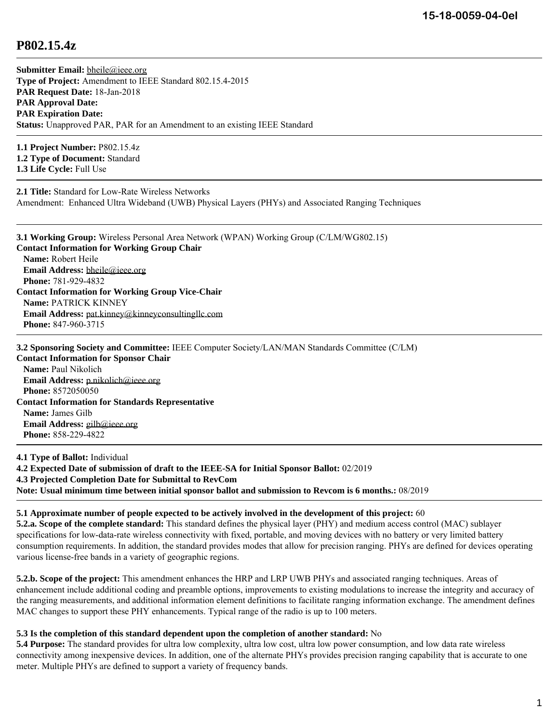## **P802.15.4z**

**Submitter Email:** [bheile@ieee.org](mailto:bheile%40ieee.org) **Type of Project:** Amendment to IEEE Standard 802.15.4-2015 **PAR Request Date:** 18-Jan-2018 **PAR Approval Date: PAR Expiration Date: Status:** Unapproved PAR, PAR for an Amendment to an existing IEEE Standard

**1.1 Project Number:** P802.15.4z **1.2 Type of Document:** Standard **1.3 Life Cycle:** Full Use

**2.1 Title:** Standard for Low-Rate Wireless Networks Amendment: Enhanced Ultra Wideband (UWB) Physical Layers (PHYs) and Associated Ranging Techniques

**3.1 Working Group:** Wireless Personal Area Network (WPAN) Working Group (C/LM/WG802.15) **Contact Information for Working Group Chair Name:** Robert Heile **Email Address:** [bheile@ieee.org](mailto:bheile%40ieee.org) **Phone:** 781-929-4832 **Contact Information for Working Group Vice-Chair Name:** PATRICK KINNEY **Email Address:** [pat.kinney@kinneyconsultingllc.com](mailto:pat.kinney%40kinneyconsultingllc.com) **Phone:** 847-960-3715

**3.2 Sponsoring Society and Committee:** IEEE Computer Society/LAN/MAN Standards Committee (C/LM)

**Contact Information for Sponsor Chair Name:** Paul Nikolich **Email Address:** [p.nikolich@ieee.org](mailto:p.nikolich%40ieee.org) **Phone:** 8572050050 **Contact Information for Standards Representative Name:** James Gilb **Email Address:** [gilb@ieee.org](mailto:gilb%40ieee.org) **Phone:** 858-229-4822

**4.1 Type of Ballot:** Individual **4.2 Expected Date of submission of draft to the IEEE-SA for Initial Sponsor Ballot:** 02/2019 **4.3 Projected Completion Date for Submittal to RevCom Note: Usual minimum time between initial sponsor ballot and submission to Revcom is 6 months.:** 08/2019

## **5.1 Approximate number of people expected to be actively involved in the development of this project:** 60

**5.2.a. Scope of the complete standard:** This standard defines the physical layer (PHY) and medium access control (MAC) sublayer specifications for low-data-rate wireless connectivity with fixed, portable, and moving devices with no battery or very limited battery consumption requirements. In addition, the standard provides modes that allow for precision ranging. PHYs are defined for devices operating various license-free bands in a variety of geographic regions.

**5.2.b. Scope of the project:** This amendment enhances the HRP and LRP UWB PHYs and associated ranging techniques. Areas of enhancement include additional coding and preamble options, improvements to existing modulations to increase the integrity and accuracy of the ranging measurements, and additional information element definitions to facilitate ranging information exchange. The amendment defines MAC changes to support these PHY enhancements. Typical range of the radio is up to 100 meters.

## **5.3 Is the completion of this standard dependent upon the completion of another standard:** No

**5.4 Purpose:** The standard provides for ultra low complexity, ultra low cost, ultra low power consumption, and low data rate wireless connectivity among inexpensive devices. In addition, one of the alternate PHYs provides precision ranging capability that is accurate to one meter. Multiple PHYs are defined to support a variety of frequency bands.